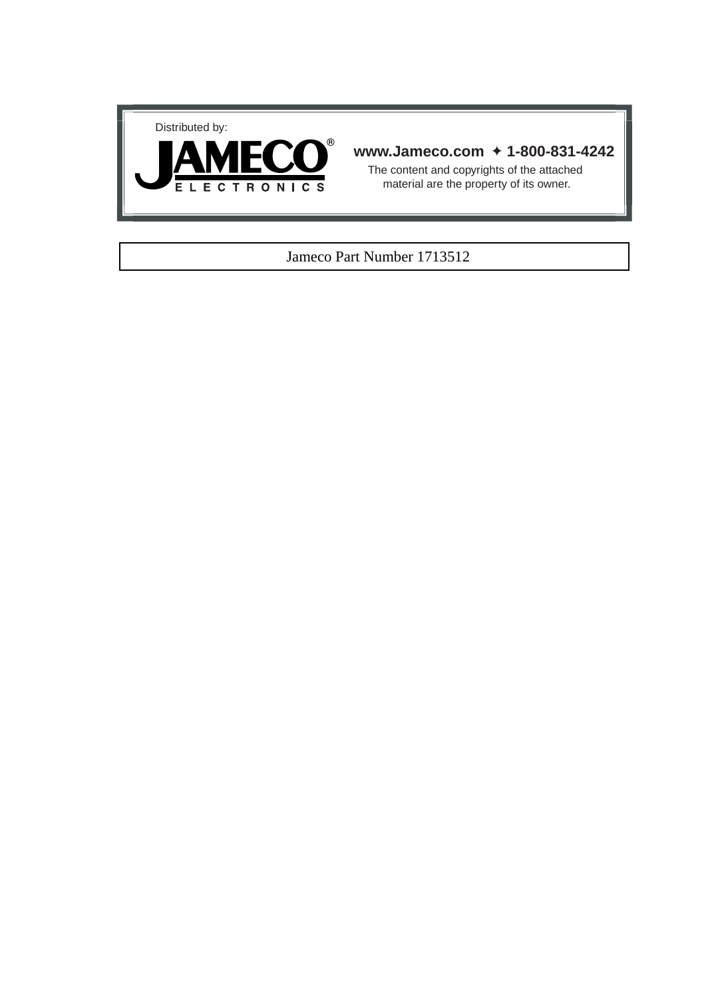



### **www.Jameco.com** ✦ **1-800-831-4242**

The content and copyrights of the attached material are the property of its owner.

### Jameco Part Number 1713512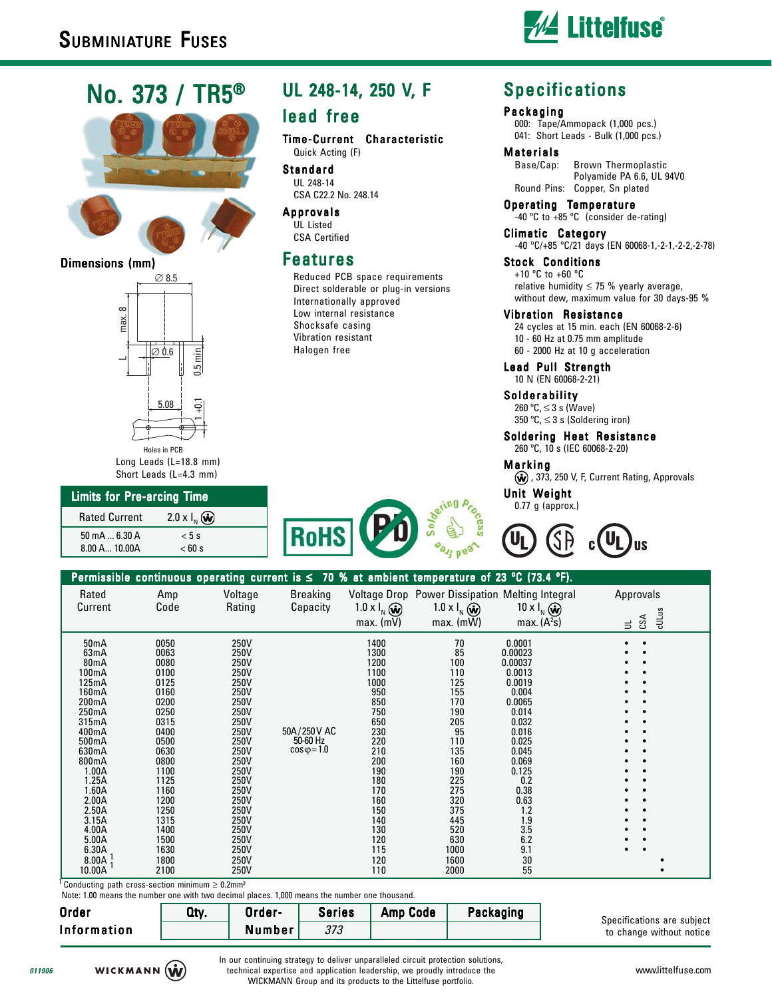# No. 373 / TR5®





### Dimensions (mm)



Long Leads (L=18.8 mm) Short Leads (L=4.3 mm)

# Limits for Pre-arcing Time

| <b>Rated Current</b> | $2.0 \times I_{N}$ (w) |
|----------------------|------------------------|
| 50 mA $$ 6.30 A      | $< 5$ s                |
| 8.00 A., 10.00A      | < 60 s                 |

# UL 248-14, 250 V, F

### lead free

Time-Current Characteristic Quick Acting (F)

Standard UL 248-14 CSA C22.2 No. 248.14

Approvals UL Listed CSA Certified

### heatures

Reduced PCB space requirements Direct solderable or plug-in versions Internationally approved Low internal resistance Shocksafe casing Vibration resistant Halogen free

# **Specifications**

### Packaging

000: Tape/Ammopack (1,000 pcs.) 041: Short Leads - Bulk (1,000 pcs.)

#### Materials

Base/Cap: Brown Thermoplastic Polyamide PA 6.6, UL 94V0 Round Pins: Copper, Sn plated

Operating Temperature -40 ºC to +85 ºC (consider de-rating)

Climatic Category -40 ºC/+85 ºC/21 days (EN 60068-1,-2-1,-2-2,-2-78)

Stock Conditions +10 ºC to +60 ºC relative humidity  $\leq$  75 % yearly average, without dew, maximum value for 30 days-95 %

### Vibration Resistance

24 cycles at 15 min. each (EN 60068-2-6) 10 - 60 Hz at 0.75 mm amplitude

60 - 2000 Hz at 10 g acceleration

Lead Pull Strength 10 N (EN 60068-2-21)

### Solderability

260 ºC, ≤ 3 s (Wave) 350 °C,  $\leq$  3 s (Soldering iron)

Soldering Heat Resistance 260 ºC, 10 s (IEC 60068-2-20)

Marking

(w), 373, 250 V, F, Current Rating, Approvals

**US** 

**Unit Weight** 0.77 g (approx.)



 $nni$ 

50mA 0050 250V 1400 70 0.0001 • • 63mA 0063 250V 1300 85 0.00023 • • 80mA 0080 250V 1200 100 0.00037 • • 100mA 0100 250V 1100 110 0.0013 • • 125mA 0125 250V 1000 125 0.0019 • • 160mA 0160 250V 950 155 0.004 • • 200mA 0200 250V 850 170 0.0065 • • 250mA 0250 250V 750 190 0.014 • • 315mA 0315 250V 650 205 0.032 • • 400mA 0400 250V 50A/250V AC 230 95 0.016 • • 500mA 0500 250V 220 110 0.025 • • 630mA 0630 250V cosφ=1.0 210 135 0.045 • • 800mA 0800 250V 200 160 0.069 • • 1.00A 1100 250V 190 190 0.125 • • 1.25A 1125 250V 180 225 0.2 • • 1.60A 1160 250V 170 275 0.38 • • 2.00A 1200 250V 160 320 0.63 • • 2.50A 1250 250V 250V 150 375 1.2 • • 3.15A 1315 250V 140 445 1.9 • • 4.00A 1400 250V 130 520 3.5 • • 5.00A 1500 250V 120 630 6.2 • •  $6.30\textup{\AA}$  ,  $1630$  ,  $250\textup{\AA}$  ,  $115$  ,  $1000$  ,  $9.1$  ,  $\bullet$  ,  $8.00 \, \mathrm{A} \, \mathrm{J}$  1800  $250 \, \mathrm{V}$  250  $\bullet$  120  $1600 \, \mathrm{J}$  30  $\bullet$ 10.00A <sup>1</sup> 2100 250V 110 2000 55 • 50A / 250 V AC 50-60 Hz  $\cos \omega = 1.0$ 1 1  $\equiv$ CSA cULus Permissible continuous operating current is  $\leq 70$  % at ambient temperature of 23 °C (73.4 Rated Amp Voltage Breaking Voltage Drop Power Dissipation Melting Integral Approvals Current Code Rating Capacity 1.0 x I<sub>N</sub> (a) 1.0 x I<sub>N</sub> (a) 10 x I<sub>N</sub>  $max. (mV)$  max.  $(mW)$ max.  $(A^2s)$ 

Note: 1.00 means the number one with two decimal places. 1.000 means the number one thousand Conducting path cross-section minimum  $\geq 0.2$ mm<sup>2</sup>

| TOLO. T.OU MUUMIO LIIO MAMMOI ONO WILH LWO GOOMIGI PIGOOO, T,OOO MIOGHO LIIO MAMMOI ONO LIIOGOOMIGI. |      |        |               |          |           |  |
|------------------------------------------------------------------------------------------------------|------|--------|---------------|----------|-----------|--|
| <b>Order</b>                                                                                         | Qty. | Order- | <b>Series</b> | Amp Code | Packaging |  |
| <b>Information</b>                                                                                   |      | Number |               |          |           |  |

Specifications are subject to change without notice

**011906**

In our continuing strategy to deliver unparalleled circuit protection solutions, technical expertise and application leadership, we proudly introduce the WICKMANN Group and its products to the Littelfuse portfolio.